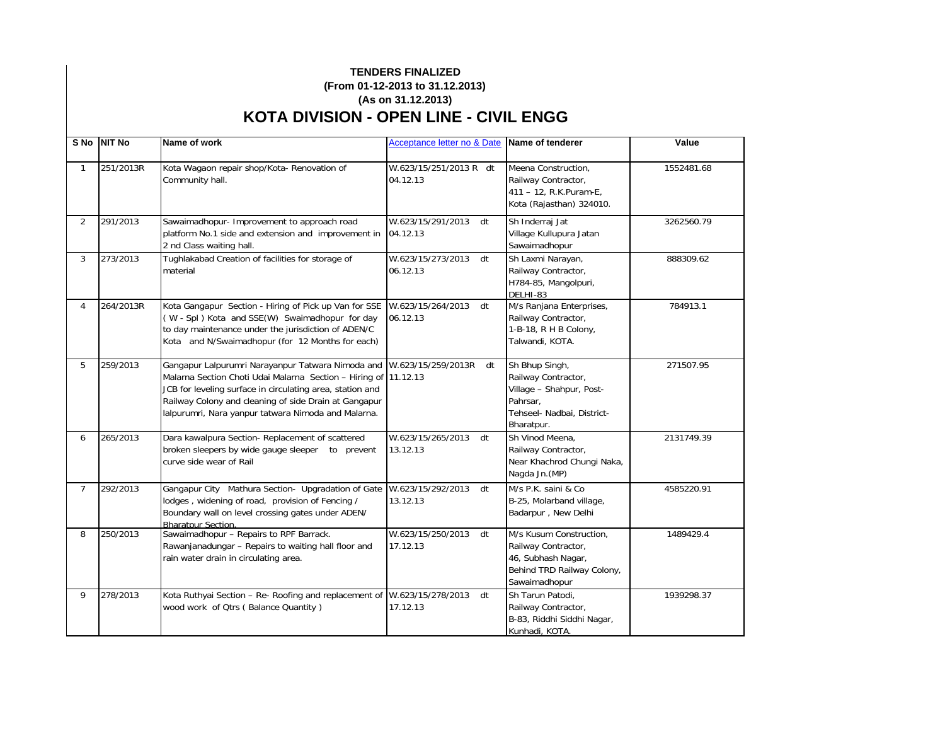## **TENDERS FINALIZED (From 01-12-2013 to 31.12.2013) (As on 31.12.2013) KOTA DIVISION - OPEN LINE - CIVIL ENGG**

|                | S No NIT No | Name of work                                                                                                                                                                                                                                                                                                         | Acceptance letter no & Date Name of tenderer |                                                                                                                           | Value      |
|----------------|-------------|----------------------------------------------------------------------------------------------------------------------------------------------------------------------------------------------------------------------------------------------------------------------------------------------------------------------|----------------------------------------------|---------------------------------------------------------------------------------------------------------------------------|------------|
| $\mathbf{1}$   | 251/2013R   | Kota Wagaon repair shop/Kota- Renovation of<br>Community hall.                                                                                                                                                                                                                                                       | W.623/15/251/2013 R dt<br>04.12.13           | Meena Construction.<br>Railway Contractor,<br>411 - 12, R.K.Puram-E,<br>Kota (Rajasthan) 324010.                          | 1552481.68 |
| $\overline{2}$ | 291/2013    | Sawaimadhopur- Improvement to approach road<br>platform No.1 side and extension and improvement in<br>2 nd Class waiting hall.                                                                                                                                                                                       | W.623/15/291/2013<br>dt<br>04.12.13          | Sh Inderraj Jat<br>Village Kullupura Jatan<br>Sawaimadhopur                                                               | 3262560.79 |
| 3              | 273/2013    | Tughlakabad Creation of facilities for storage of<br>material                                                                                                                                                                                                                                                        | W.623/15/273/2013 dt<br>06.12.13             | Sh Laxmi Narayan,<br>Railway Contractor,<br>H784-85, Mangolpuri,<br>DELHI-83                                              | 888309.62  |
| 4              | 264/2013R   | Kota Gangapur Section - Hiring of Pick up Van for SSE<br>(W - Spl) Kota and SSE(W) Swaimadhopur for day<br>to day maintenance under the jurisdiction of ADEN/C<br>Kota and N/Swaimadhopur (for 12 Months for each)                                                                                                   | W.623/15/264/2013<br>dt<br>06.12.13          | M/s Ranjana Enterprises,<br>Railway Contractor,<br>1-B-18, R H B Colony,<br>Talwandi, KOTA.                               | 784913.1   |
| 5              | 259/2013    | Gangapur Lalpurumri Narayanpur Tatwara Nimoda and W.623/15/259/2013R<br>Malarna Section Choti Udai Malarna Section - Hiring of 11.12.13<br>JCB for leveling surface in circulating area, station and<br>Railway Colony and cleaning of side Drain at Gangapur<br>lalpurumri, Nara yanpur tatwara Nimoda and Malarna. | dt                                           | Sh Bhup Singh,<br>Railway Contractor,<br>Village - Shahpur, Post-<br>Pahrsar.<br>Tehseel- Nadbai, District-<br>Bharatpur. | 271507.95  |
| 6              | 265/2013    | Dara kawalpura Section- Replacement of scattered<br>broken sleepers by wide gauge sleeper to prevent<br>curve side wear of Rail                                                                                                                                                                                      | W.623/15/265/2013 dt<br>13.12.13             | Sh Vinod Meena,<br>Railway Contractor,<br>Near Khachrod Chungi Naka,<br>Nagda Jn. (MP)                                    | 2131749.39 |
| $\overline{7}$ | 292/2013    | Gangapur City Mathura Section- Upgradation of Gate W.623/15/292/2013<br>lodges, widening of road, provision of Fencing /<br>Boundary wall on level crossing gates under ADEN/<br><b>Bharatpur Section.</b>                                                                                                           | dt<br>13.12.13                               | M/s P.K. saini & Co<br>B-25, Molarband village,<br>Badarpur, New Delhi                                                    | 4585220.91 |
| 8              | 250/2013    | Sawaimadhopur - Repairs to RPF Barrack.<br>Rawanjanadungar - Repairs to waiting hall floor and<br>rain water drain in circulating area.                                                                                                                                                                              | W.623/15/250/2013<br>dt<br>17.12.13          | M/s Kusum Construction,<br>Railway Contractor,<br>46, Subhash Nagar,<br>Behind TRD Railway Colony,<br>Sawaimadhopur       | 1489429.4  |
| 9              | 278/2013    | Kota Ruthyai Section - Re- Roofing and replacement of W.623/15/278/2013<br>wood work of Qtrs (Balance Quantity)                                                                                                                                                                                                      | dt<br>17.12.13                               | Sh Tarun Patodi,<br>Railway Contractor,<br>B-83, Riddhi Siddhi Nagar,<br>Kunhadi, KOTA.                                   | 1939298.37 |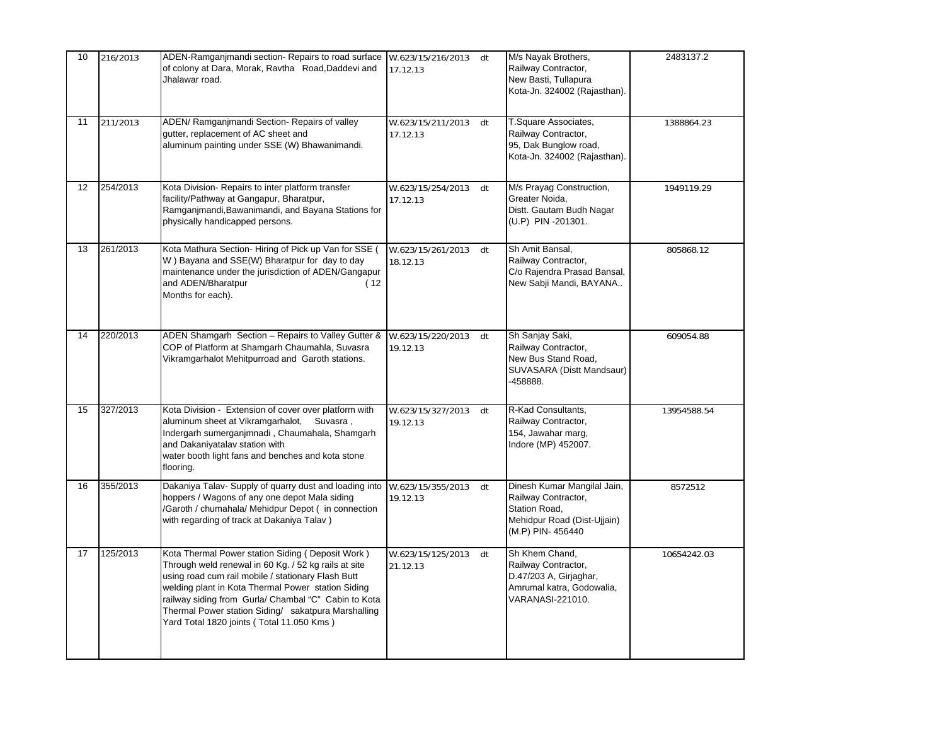| 10 | 216/2013 | ADEN-Ramganjmandi section- Repairs to road surface W.623/15/216/2013 dt<br>of colony at Dara, Morak, Ravtha Road, Daddevi and<br>Jhalawar road.                                                                                                                                                                                                                                  | 17.12.13                            | M/s Nayak Brothers,<br>Railway Contractor,<br>New Basti, Tullapura<br>Kota-Jn. 324002 (Rajasthan).                     | 2483137.2   |
|----|----------|----------------------------------------------------------------------------------------------------------------------------------------------------------------------------------------------------------------------------------------------------------------------------------------------------------------------------------------------------------------------------------|-------------------------------------|------------------------------------------------------------------------------------------------------------------------|-------------|
| 11 | 211/2013 | ADEN/ Ramganjmandi Section- Repairs of valley<br>qutter, replacement of AC sheet and<br>aluminum painting under SSE (W) Bhawanimandi.                                                                                                                                                                                                                                            | W.623/15/211/2013<br>dt<br>17.12.13 | T.Square Associates,<br>Railway Contractor,<br>95, Dak Bunglow road,<br>Kota-Jn. 324002 (Rajasthan).                   | 1388864.23  |
| 12 | 254/2013 | Kota Division- Repairs to inter platform transfer<br>facility/Pathway at Gangapur, Bharatpur,<br>Ramganjmandi, Bawanimandi, and Bayana Stations for<br>physically handicapped persons.                                                                                                                                                                                           | W.623/15/254/2013<br>dt<br>17.12.13 | M/s Prayag Construction,<br>Greater Noida,<br>Distt. Gautam Budh Nagar<br>(U.P) PIN -201301.                           | 1949119.29  |
| 13 | 261/2013 | Kota Mathura Section- Hiring of Pick up Van for SSE (<br>W) Bayana and SSE(W) Bharatpur for day to day<br>maintenance under the jurisdiction of ADEN/Gangapur<br>and ADEN/Bharatpur<br>(12)<br>Months for each).                                                                                                                                                                 | W.623/15/261/2013<br>dt<br>18.12.13 | Sh Amit Bansal,<br>Railway Contractor,<br>C/o Rajendra Prasad Bansal,<br>New Sabji Mandi, BAYANA                       | 805868.12   |
| 14 | 220/2013 | ADEN Shamgarh Section - Repairs to Valley Gutter &<br>COP of Platform at Shamgarh Chaumahla, Suvasra<br>Vikramgarhalot Mehitpurroad and Garoth stations.                                                                                                                                                                                                                         | W.623/15/220/2013<br>dt<br>19.12.13 | Sh Sanjay Saki,<br>Railway Contractor,<br>New Bus Stand Road,<br>SUVASARA (Distt Mandsaur)<br>-458888.                 | 609054.88   |
| 15 | 327/2013 | Kota Division - Extension of cover over platform with<br>aluminum sheet at Vikramgarhalot,<br>Suvasra,<br>Indergarh sumerganjmnadi, Chaumahala, Shamgarh<br>and Dakaniyatalav station with<br>water booth light fans and benches and kota stone<br>flooring.                                                                                                                     | W.623/15/327/2013<br>dt<br>19.12.13 | R-Kad Consultants,<br>Railway Contractor,<br>154, Jawahar marg,<br>Indore (MP) 452007.                                 | 13954588.54 |
| 16 | 355/2013 | Dakaniya Talav- Supply of quarry dust and loading into<br>hoppers / Wagons of any one depot Mala siding<br>/Garoth / chumahala/ Mehidpur Depot (in connection<br>with regarding of track at Dakaniya Talav)                                                                                                                                                                      | W.623/15/355/2013<br>dt<br>19.12.13 | Dinesh Kumar Mangilal Jain,<br>Railway Contractor,<br>Station Road,<br>Mehidpur Road (Dist-Ujjain)<br>(M.P) PIN-456440 | 8572512     |
| 17 | 125/2013 | Kota Thermal Power station Siding (Deposit Work)<br>Through weld renewal in 60 Kg. / 52 kg rails at site<br>using road cum rail mobile / stationary Flash Butt<br>welding plant in Kota Thermal Power station Siding<br>railway siding from Gurla/ Chambal "C" Cabin to Kota<br>Thermal Power station Siding/ sakatpura Marshalling<br>Yard Total 1820 joints (Total 11.050 Kms) | W.623/15/125/2013<br>dt<br>21.12.13 | Sh Khem Chand,<br>Railway Contractor,<br>D.47/203 A, Girjaghar,<br>Amrumal katra, Godowalia,<br>VARANASI-221010.       | 10654242.03 |